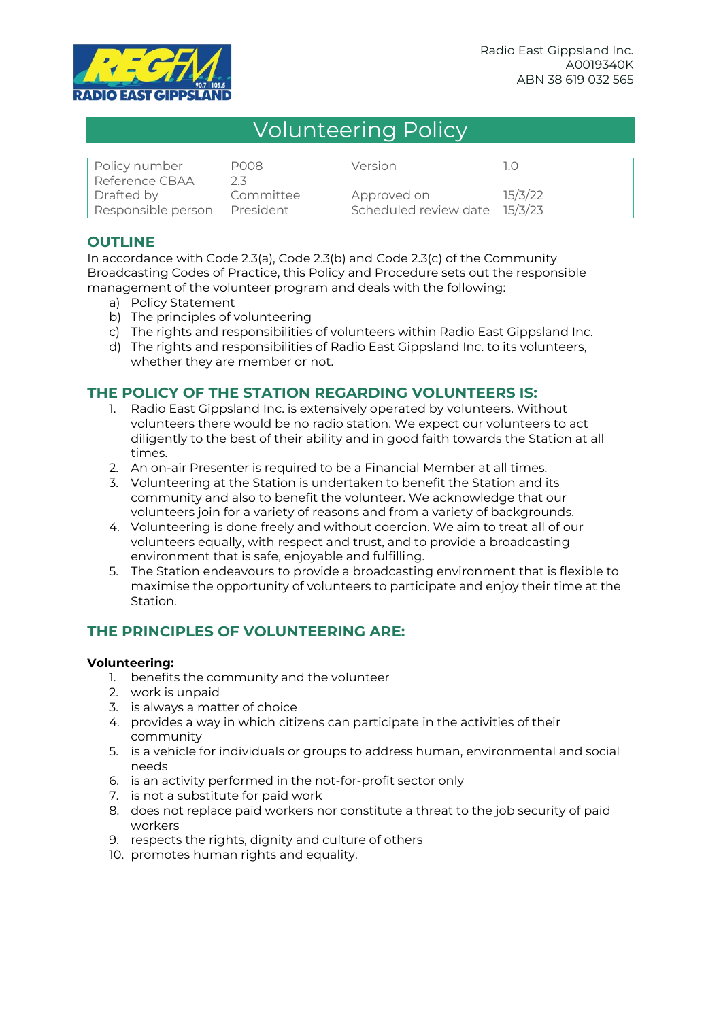

# Volunteering Policy

| Policy number                | P008      | Version                       |         |
|------------------------------|-----------|-------------------------------|---------|
| Reference CBAA               | 2.3.      |                               |         |
| Drafted by                   | Committee | Approved on                   | 15/3/22 |
| Responsible person President |           | Scheduled review date 15/3/23 |         |

# **OUTLINE**

In accordance with Code 2.3(a), Code 2.3(b) and Code 2.3(c) of the Community Broadcasting Codes of Practice, this Policy and Procedure sets out the responsible management of the volunteer program and deals with the following:

- a) Policy Statement
- b) The principles of volunteering
- c) The rights and responsibilities of volunteers within Radio East Gippsland Inc.
- d) The rights and responsibilities of Radio East Gippsland Inc. to its volunteers, whether they are member or not.

## **THE POLICY OF THE STATION REGARDING VOLUNTEERS IS:**

- 1. Radio East Gippsland Inc. is extensively operated by volunteers. Without volunteers there would be no radio station. We expect our volunteers to act diligently to the best of their ability and in good faith towards the Station at all times.
- 2. An on-air Presenter is required to be a Financial Member at all times.
- 3. Volunteering at the Station is undertaken to benefit the Station and its community and also to benefit the volunteer. We acknowledge that our volunteers join for a variety of reasons and from a variety of backgrounds.
- 4. Volunteering is done freely and without coercion. We aim to treat all of our volunteers equally, with respect and trust, and to provide a broadcasting environment that is safe, enjoyable and fulfilling.
- 5. The Station endeavours to provide a broadcasting environment that is flexible to maximise the opportunity of volunteers to participate and enjoy their time at the Station.

# **THE PRINCIPLES OF VOLUNTEERING ARE:**

#### **Volunteering:**

- 1. benefits the community and the volunteer
- 2. work is unpaid
- 3. is always a matter of choice
- 4. provides a way in which citizens can participate in the activities of their community
- 5. is a vehicle for individuals or groups to address human, environmental and social needs
- 6. is an activity performed in the not-for-profit sector only
- 7. is not a substitute for paid work
- 8. does not replace paid workers nor constitute a threat to the job security of paid workers
- 9. respects the rights, dignity and culture of others
- 10. promotes human rights and equality.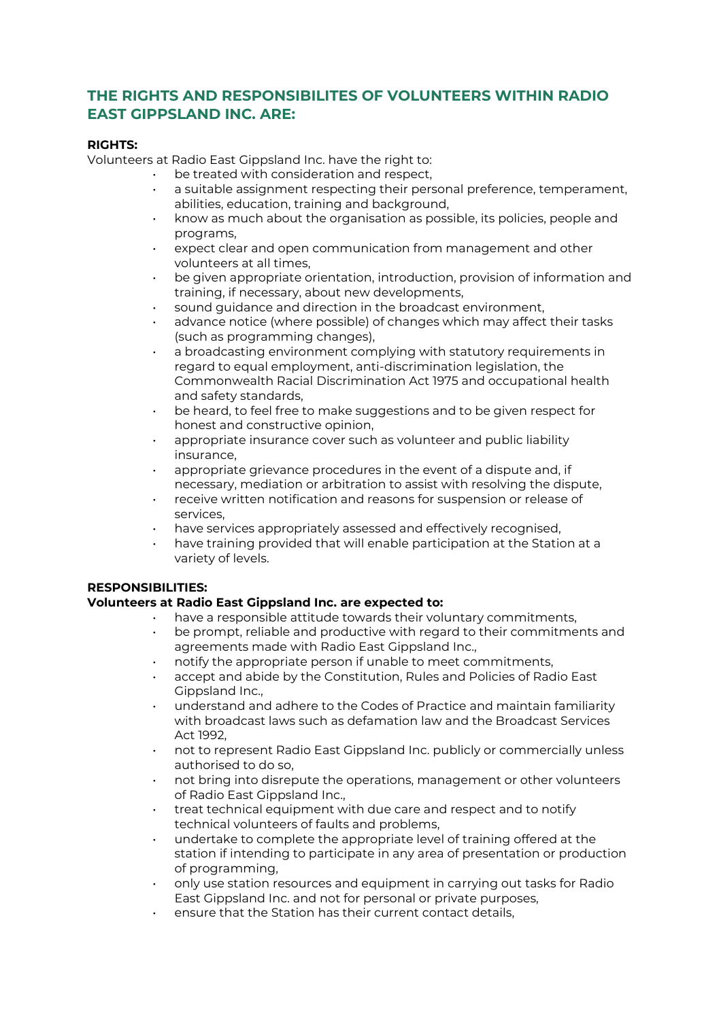# **THE RIGHTS AND RESPONSIBILITES OF VOLUNTEERS WITHIN RADIO EAST GIPPSLAND INC. ARE:**

#### **RIGHTS:**

Volunteers at Radio East Gippsland Inc. have the right to:

- be treated with consideration and respect,
- a suitable assignment respecting their personal preference, temperament, abilities, education, training and background,
- know as much about the organisation as possible, its policies, people and programs,
- expect clear and open communication from management and other volunteers at all times,
- be given appropriate orientation, introduction, provision of information and training, if necessary, about new developments,
- sound guidance and direction in the broadcast environment,
- advance notice (where possible) of changes which may affect their tasks (such as programming changes),
- a broadcasting environment complying with statutory requirements in regard to equal employment, anti-discrimination legislation, the Commonwealth Racial Discrimination Act 1975 and occupational health and safety standards,
- be heard, to feel free to make suggestions and to be given respect for honest and constructive opinion,
- appropriate insurance cover such as volunteer and public liability insurance,
- appropriate grievance procedures in the event of a dispute and, if necessary, mediation or arbitration to assist with resolving the dispute,
- receive written notification and reasons for suspension or release of services,
- have services appropriately assessed and effectively recognised,
- have training provided that will enable participation at the Station at a variety of levels.

## **RESPONSIBILITIES:**

## **Volunteers at Radio East Gippsland Inc. are expected to:**

- have a responsible attitude towards their voluntary commitments,
- be prompt, reliable and productive with regard to their commitments and agreements made with Radio East Gippsland Inc.,
- notify the appropriate person if unable to meet commitments,
- accept and abide by the Constitution, Rules and Policies of Radio East Gippsland Inc.,
- understand and adhere to the Codes of Practice and maintain familiarity with broadcast laws such as defamation law and the Broadcast Services Act 1992,
- not to represent Radio East Gippsland Inc. publicly or commercially unless authorised to do so,
- not bring into disrepute the operations, management or other volunteers of Radio East Gippsland Inc.,
- treat technical equipment with due care and respect and to notify technical volunteers of faults and problems,
- undertake to complete the appropriate level of training offered at the station if intending to participate in any area of presentation or production of programming,
- only use station resources and equipment in carrying out tasks for Radio East Gippsland Inc. and not for personal or private purposes,
- ensure that the Station has their current contact details,